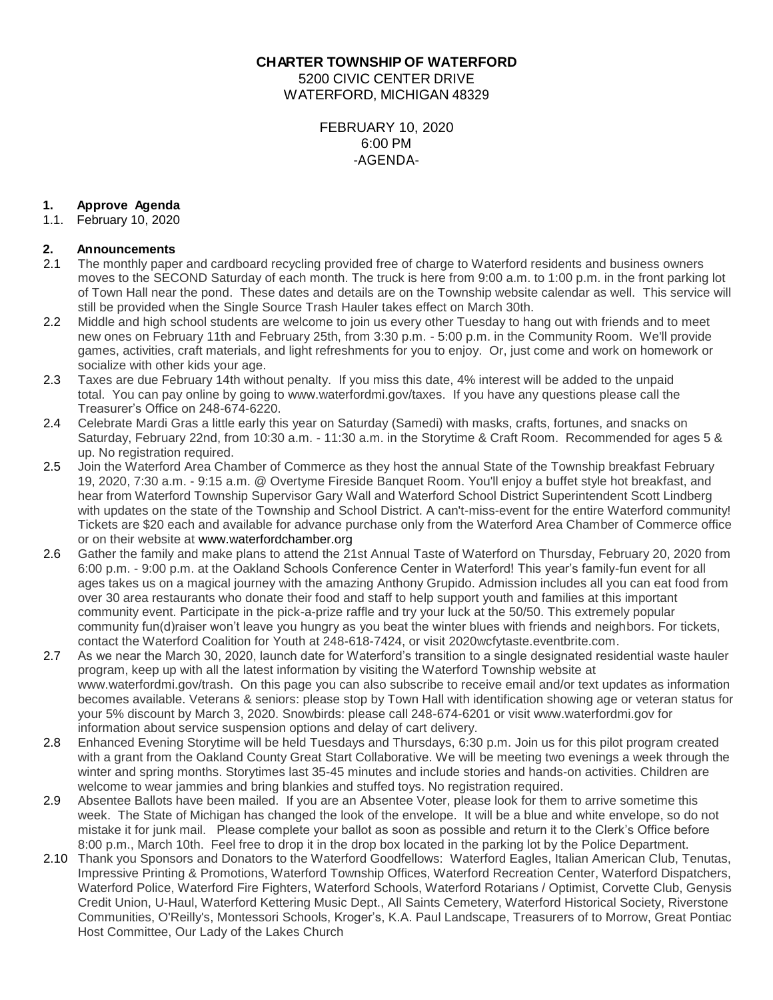**CHARTER TOWNSHIP OF WATERFORD** 5200 CIVIC CENTER DRIVE WATERFORD, MICHIGAN 48329

> FEBRUARY 10, 2020 6:00 PM -AGENDA-

# **1. Approve Agenda**

1.1. February 10, 2020

## **2. Announcements**

- 2.1 The monthly paper and cardboard recycling provided free of charge to Waterford residents and business owners moves to the SECOND Saturday of each month. The truck is here from 9:00 a.m. to 1:00 p.m. in the front parking lot of Town Hall near the pond. These dates and details are on the Township website calendar as well. This service will still be provided when the Single Source Trash Hauler takes effect on March 30th.
- 2.2 Middle and high school students are welcome to join us every other Tuesday to hang out with friends and to meet new ones on February 11th and February 25th, from 3:30 p.m. - 5:00 p.m. in the Community Room. We'll provide games, activities, craft materials, and light refreshments for you to enjoy. Or, just come and work on homework or socialize with other kids your age.
- 2.3 Taxes are due February 14th without penalty. If you miss this date, 4% interest will be added to the unpaid total. You can pay online by going to www.waterfordmi.gov/taxes. If you have any questions please call the Treasurer's Office on 248-674-6220.
- 2.4 Celebrate Mardi Gras a little early this year on Saturday (Samedi) with masks, crafts, fortunes, and snacks on Saturday, February 22nd, from 10:30 a.m. - 11:30 a.m. in the Storytime & Craft Room. Recommended for ages 5 & up. No registration required.
- 2.5 Join the Waterford Area Chamber of Commerce as they host the annual State of the Township breakfast February 19, 2020, 7:30 a.m. - 9:15 a.m. @ Overtyme Fireside Banquet Room. You'll enjoy a buffet style hot breakfast, and hear from Waterford Township Supervisor Gary Wall and Waterford School District Superintendent Scott Lindberg with updates on the state of the Township and School District. A can't-miss-event for the entire Waterford community! Tickets are \$20 each and available for advance purchase only from the Waterford Area Chamber of Commerce office or on their website at [www.waterfordchamber.org](http://www.waterfordchamber.org/)
- 2.6 Gather the family and make plans to attend the 21st Annual Taste of Waterford on Thursday, February 20, 2020 from 6:00 p.m. - 9:00 p.m. at the Oakland Schools Conference Center in Waterford! This year's family-fun event for all ages takes us on a magical journey with the amazing Anthony Grupido. Admission includes all you can eat food from over 30 area restaurants who donate their food and staff to help support youth and families at this important community event. Participate in the pick-a-prize raffle and try your luck at the 50/50. This extremely popular community fun(d)raiser won't leave you hungry as you beat the winter blues with friends and neighbors. For tickets, contact the Waterford Coalition for Youth at 248-618-7424, or visit 2020wcfytaste.eventbrite.com.
- 2.7 As we near the March 30, 2020, launch date for Waterford's transition to a single designated residential waste hauler program, keep up with all the latest information by visiting the Waterford Township website at www.waterfordmi.gov/trash. On this page you can also subscribe to receive email and/or text updates as information becomes available. Veterans & seniors: please stop by Town Hall with identification showing age or veteran status for your 5% discount by March 3, 2020. Snowbirds: please call 248-674-6201 or visit www.waterfordmi.gov for information about service suspension options and delay of cart delivery.
- 2.8 Enhanced Evening Storytime will be held Tuesdays and Thursdays, 6:30 p.m. Join us for this pilot program created with a grant from the Oakland County Great Start Collaborative. We will be meeting two evenings a week through the winter and spring months. Storytimes last 35-45 minutes and include stories and hands-on activities. Children are welcome to wear jammies and bring blankies and stuffed toys. No registration required.
- 2.9 Absentee Ballots have been mailed. If you are an Absentee Voter, please look for them to arrive sometime this week. The State of Michigan has changed the look of the envelope. It will be a blue and white envelope, so do not mistake it for junk mail. Please complete your ballot as soon as possible and return it to the Clerk's Office before 8:00 p.m., March 10th. Feel free to drop it in the drop box located in the parking lot by the Police Department.
- 2.10 Thank you Sponsors and Donators to the Waterford Goodfellows: Waterford Eagles, Italian American Club, Tenutas, Impressive Printing & Promotions, Waterford Township Offices, Waterford Recreation Center, Waterford Dispatchers, Waterford Police, Waterford Fire Fighters, Waterford Schools, Waterford Rotarians / Optimist, Corvette Club, Genysis Credit Union, U-Haul, Waterford Kettering Music Dept., All Saints Cemetery, Waterford Historical Society, Riverstone Communities, O'Reilly's, Montessori Schools, Kroger's, K.A. Paul Landscape, Treasurers of to Morrow, Great Pontiac Host Committee, Our Lady of the Lakes Church